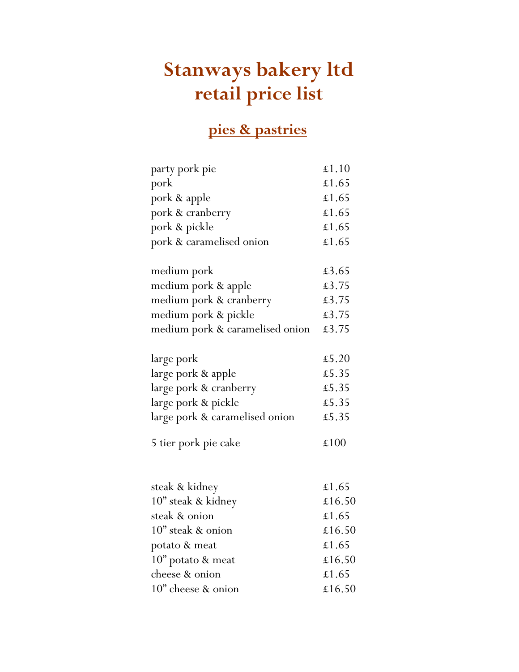# Stanways bakery ltd retail price list

## pies & pastries

| party pork pie                  | £1.10  |
|---------------------------------|--------|
| pork                            | £1.65  |
| pork & apple                    | £1.65  |
| pork & cranberry                | £1.65  |
| pork & pickle                   | £1.65  |
| pork & caramelised onion        | £1.65  |
|                                 |        |
| medium pork                     | £3.65  |
| medium pork & apple             | £3.75  |
| medium pork & cranberry         | £3.75  |
| medium pork & pickle            | £3.75  |
| medium pork & caramelised onion | £3.75  |
|                                 |        |
| large pork                      | £5.20  |
| large pork & apple              | £5.35  |
| large pork & cranberry          | £5.35  |
| large pork & pickle             | £5.35  |
| large pork & caramelised onion  | £5.35  |
|                                 |        |
| 5 tier pork pie cake            | £100   |
|                                 |        |
|                                 |        |
| steak & kidney                  | £1.65  |
| 10" steak & kidney              | £16.50 |
| steak & onion                   | £1.65  |
| 10" steak & onion               | £16.50 |
| potato & meat                   | £1.65  |
| 10" potato & meat               | £16.50 |
| cheese & onion                  | £1.65  |
| 10" cheese & onion              | £16.50 |
|                                 |        |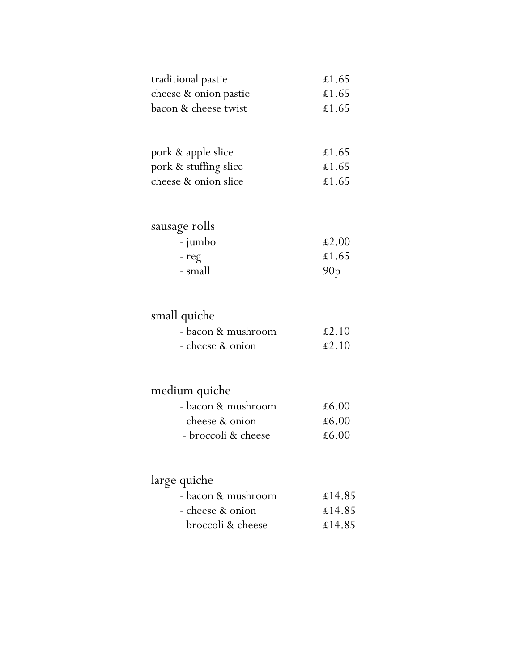| traditional pastie    | £1.65 |
|-----------------------|-------|
| cheese & onion pastie | £1.65 |
| bacon & cheese twist  | £1.65 |

| pork & apple slice    | £1.65 |
|-----------------------|-------|
| pork & stuffing slice | £1.65 |
| cheese & onion slice  | £1.65 |

## sausage rolls

| - jumbo | £2.00           |
|---------|-----------------|
| - reg   | £1.65           |
| - small | 90 <sub>p</sub> |

#### small quiche

| - bacon & mushroom | $\pounds2.10$ |
|--------------------|---------------|
| - cheese & onion   | £2.10         |

### medium quiche

| - bacon & mushroom  | £6.00 |
|---------------------|-------|
| - cheese & onion    | £6.00 |
| - broccoli & cheese | £6.00 |

### large quiche

| - bacon & mushroom  | £14.85 |
|---------------------|--------|
| - cheese & onion    | £14.85 |
| - broccoli & cheese | £14.85 |